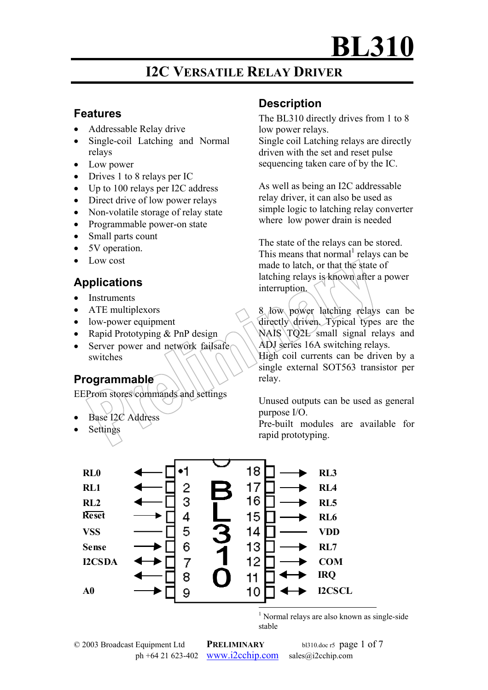# **I2C VERSATILE RELAY DRIVER**

#### **Features**

- Addressable Relay drive
- Single-coil Latching and Normal relays
- Low power
- Drives 1 to 8 relays per IC
- Up to 100 relays per I2C address
- Direct drive of low power relays
- Non-volatile storage of relay state
- Programmable power-on state
- Small parts count
- 5V operation.
- Low cost

# **Applications**

- Instruments
- ATE multiplexors
- low-power equipment
- Rapid Prototyping & PnP design
- Server power and network failsafe switches

# **Programmable**

EEProm stores commands and settings

- Base I2C Address
- Settings

# **Description**

The BL310 directly drives from 1 to 8 low power relays.

Single coil Latching relays are directly driven with the set and reset pulse sequencing taken care of by the IC.

As well as being an I2C addressable relay driver, it can also be used as simple logic to latching relay converter where low power drain is needed

The state of the relays can be stored. This means that normal relays can be made to latch, or that the state of latching relays is known after a power interruption.

8 low power latching relays can be directly driven. Typical types are the NAIS TQ2L small signal relays and ADJ series 16A switching relays.

High coil currents can be driven by a single external SOT563 transistor per relay.

Unused outputs can be used as general purpose I/O.

Pre-built modules are available for rapid prototyping.



<sup>1</sup> Normal relays are also known as single-side stable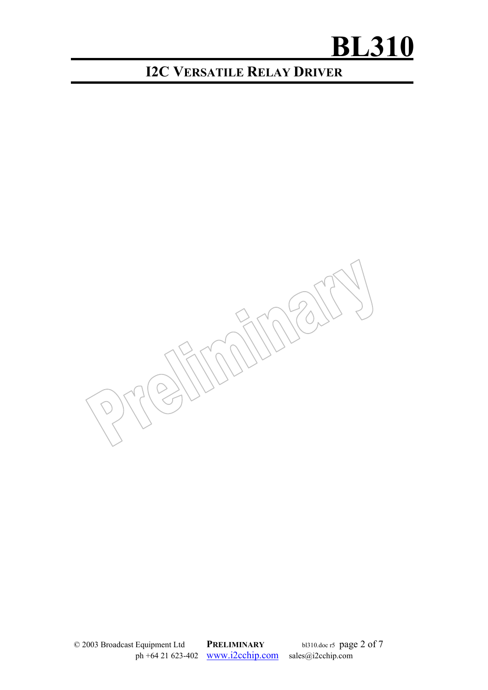# **I2C VERSATILE RELAY DRIVER**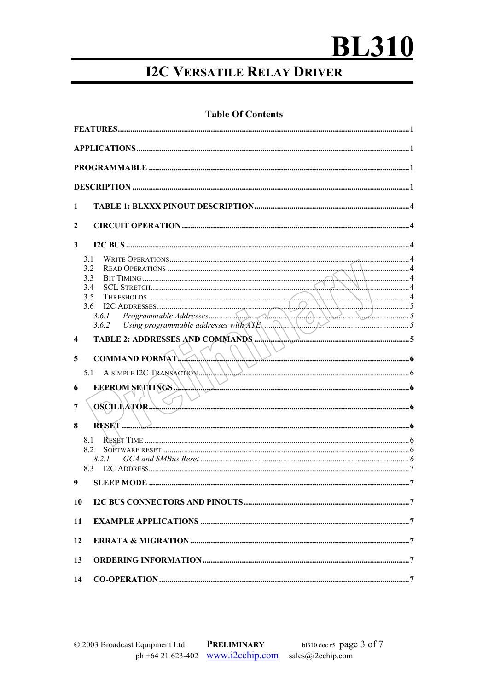# **I2C VERSATILE RELAY DRIVER**

#### **Table Of Contents**

| 1  |                                      |  |  |  |  |  |  |
|----|--------------------------------------|--|--|--|--|--|--|
| 2  |                                      |  |  |  |  |  |  |
|    |                                      |  |  |  |  |  |  |
| 3  |                                      |  |  |  |  |  |  |
|    | 3.1                                  |  |  |  |  |  |  |
|    | 3.2                                  |  |  |  |  |  |  |
|    | 3.3                                  |  |  |  |  |  |  |
|    | 3.4                                  |  |  |  |  |  |  |
|    | 3.5                                  |  |  |  |  |  |  |
|    | 3.6                                  |  |  |  |  |  |  |
|    | 3.6.1<br>3.6.2                       |  |  |  |  |  |  |
|    |                                      |  |  |  |  |  |  |
| 4  |                                      |  |  |  |  |  |  |
|    |                                      |  |  |  |  |  |  |
| 5  | <b>COMMAND FORMAT</b>                |  |  |  |  |  |  |
|    | 6<br>A SIMPLE I2C TRANSACTION<br>5.1 |  |  |  |  |  |  |
| 6  | <b>EEPROM SETTINGS</b>               |  |  |  |  |  |  |
| 7  | OSCILLATOR                           |  |  |  |  |  |  |
|    |                                      |  |  |  |  |  |  |
| 8  | <b>RESET </b>                        |  |  |  |  |  |  |
|    | 8.1                                  |  |  |  |  |  |  |
|    | 8.2                                  |  |  |  |  |  |  |
|    | 8.2.1                                |  |  |  |  |  |  |
|    | 8.3                                  |  |  |  |  |  |  |
| 9  |                                      |  |  |  |  |  |  |
| 10 |                                      |  |  |  |  |  |  |
| 11 |                                      |  |  |  |  |  |  |
| 12 |                                      |  |  |  |  |  |  |
| 13 |                                      |  |  |  |  |  |  |
| 14 |                                      |  |  |  |  |  |  |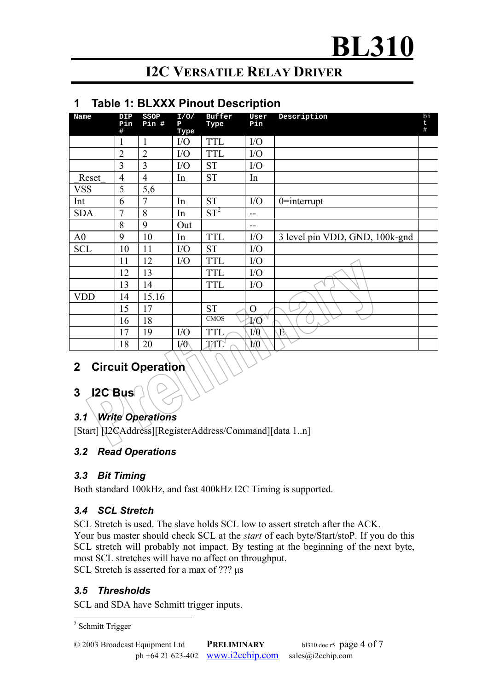# **I2C VERSATILE RELAY DRIVER**

| <u>iable T. DEAAA Fillout Description</u> |                   |                |                             |                |                       |                                |                       |
|-------------------------------------------|-------------------|----------------|-----------------------------|----------------|-----------------------|--------------------------------|-----------------------|
| Name                                      | <b>DIP</b><br>Pin | SSOP<br>Pin #  | I/O/<br>$\mathbf P$<br>Type | Buffer<br>Type | User<br>Pin           | Description                    | bi<br>t<br>$\ddot{+}$ |
|                                           | $\mathbf{1}$      | 1              | I/O                         | <b>TTL</b>     | I/O                   |                                |                       |
|                                           | $\overline{2}$    | $\overline{2}$ | I/O                         | <b>TTL</b>     | I/O                   |                                |                       |
|                                           | 3                 | 3              | I/O                         | <b>ST</b>      | I/O                   |                                |                       |
| Reset                                     | $\overline{4}$    | $\overline{4}$ | In                          | <b>ST</b>      | In                    |                                |                       |
| <b>VSS</b>                                | 5                 | 5,6            |                             |                |                       |                                |                       |
| Int                                       | 6                 | $\overline{7}$ | In                          | <b>ST</b>      | I/O                   | $0=$ interrupt                 |                       |
| <b>SDA</b>                                | 7                 | 8              | In                          | $ST^2$         | --                    |                                |                       |
|                                           | 8                 | 9              | Out                         |                | --                    |                                |                       |
| A <sub>0</sub>                            | 9                 | 10             | In                          | <b>TTL</b>     | I/O                   | 3 level pin VDD, GND, 100k-gnd |                       |
| <b>SCL</b>                                | 10                | 11             | I/O                         | <b>ST</b>      | I/O                   |                                |                       |
|                                           | 11                | 12             | $IO$                        | <b>TTL</b>     | I/O                   |                                |                       |
|                                           | 12                | 13             |                             | <b>TTL</b>     | I/O                   |                                |                       |
|                                           | 13                | 14             |                             | <b>TTL</b>     | I/O                   |                                |                       |
| <b>VDD</b>                                | 14                | 15,16          |                             |                |                       |                                |                       |
|                                           | 15                | 17             |                             | <b>ST</b>      | $\overline{O}$        |                                |                       |
|                                           | 16                | 18             |                             | <b>CMOS</b>    | $\sqrt{\mathbb{Q}}_A$ |                                |                       |
|                                           | 17                | 19             | $IO$                        | <b>TTL</b>     | 1/0                   | É                              |                       |
|                                           | 18                | 20             | V0                          | TTT            | IХO                   |                                |                       |

## **1 Table 1: BLXXX Pinout Description**

# **2 Circuit Operation**

# **3 I2C Bus**

## *3.1 Write Operations*

[Start] [I2CAddress][RegisterAddress/Command][data 1..n]

## *3.2 Read Operations*

#### *3.3 Bit Timing*

Both standard 100kHz, and fast 400kHz I2C Timing is supported.

## *3.4 SCL Stretch*

SCL Stretch is used. The slave holds SCL low to assert stretch after the ACK. Your bus master should check SCL at the *start* of each byte/Start/stoP. If you do this SCL stretch will probably not impact. By testing at the beginning of the next byte, most SCL stretches will have no affect on throughput. SCL Stretch is asserted for a max of ???  $\mu$ s

#### *3.5 Thresholds*

SCL and SDA have Schmitt trigger inputs.

<sup>&</sup>lt;sup>2</sup> Schmitt Trigger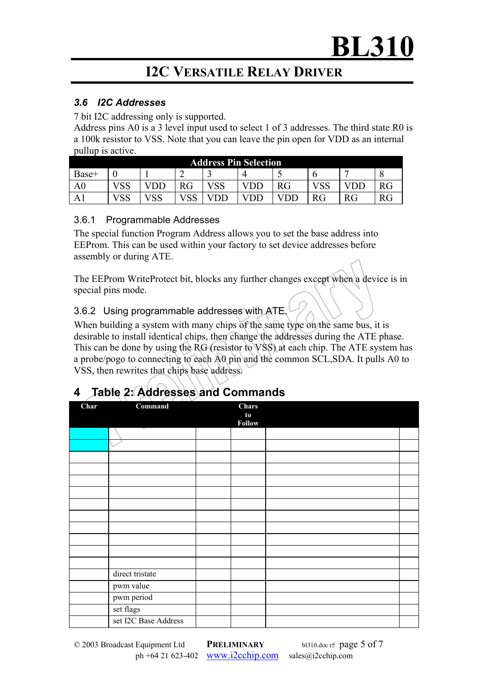# **I2C VERSATILE RELAY DRIVER**

#### *3.6 I2C Addresses*

7 bit I2C addressing only is supported.

Address pins A0 is a 3 level input used to select 1 of 3 addresses. The third state R0 is a 100k resistor to VSS. Note that you can leave the pin open for VDD as an internal pullup is active.

| <b>Address Pin Selection</b> |     |     |           |     |     |           |     |           |           |
|------------------------------|-----|-----|-----------|-----|-----|-----------|-----|-----------|-----------|
| Base+                        |     |     |           |     |     |           |     |           |           |
| A <sub>0</sub>               | VSS |     | <b>RG</b> | VSS | VDE | <b>RG</b> | VSS |           | <b>RG</b> |
|                              | 7SS | /SS |           | DГ  | DЕ  |           | RG  | <b>RG</b> | <b>RG</b> |

#### 3.6.1 Programmable Addresses

The special function Program Address allows you to set the base address into EEProm. This can be used within your factory to set device addresses before assembly or during ATE.

The EEProm WriteProtect bit, blocks any further changes except when a device is in special pins mode.

#### 3.6.2 Using programmable addresses with ATE.

When building a system with many chips of the same type on the same bus, it is desirable to install identical chips, then change the addresses during the ATE phase. This can be done by using the RG (resistor to VSS) at each chip. The ATE system has a probe/pogo to connecting to each A0 pin and the common SCL,SDA. It pulls A0 to VSS, then rewrites that chips base address.

# **4 Table 2: Addresses and Commands**

| Char | Command              | Chars<br>to<br>Follow |  |
|------|----------------------|-----------------------|--|
|      |                      |                       |  |
|      |                      |                       |  |
|      |                      |                       |  |
|      |                      |                       |  |
|      |                      |                       |  |
|      |                      |                       |  |
|      |                      |                       |  |
|      |                      |                       |  |
|      |                      |                       |  |
|      |                      |                       |  |
|      |                      |                       |  |
|      |                      |                       |  |
|      | direct tristate      |                       |  |
|      | pwm value            |                       |  |
|      | pwm period           |                       |  |
|      | set flags            |                       |  |
|      | set I2C Base Address |                       |  |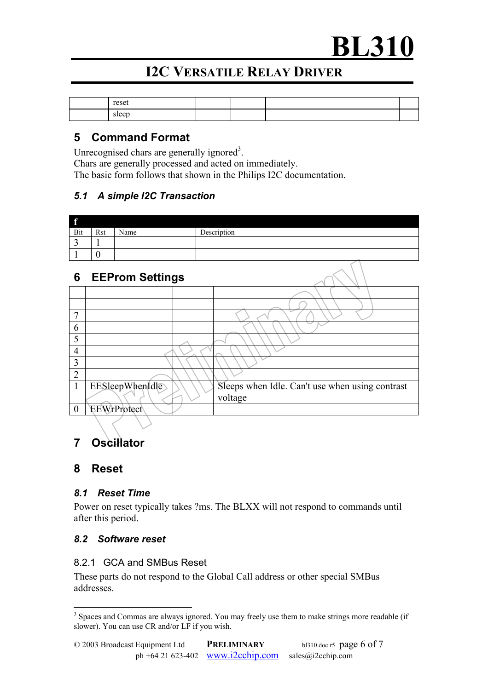$\bigwedge$ 

# **I2C VERSATILE RELAY DRIVER**

| reset |  |  |
|-------|--|--|
| sleep |  |  |

## **5 Command Format**

Unrecognised chars are generally ignored<sup>3</sup>. Chars are generally processed and acted on immediately. The basic form follows that shown in the Philips I2C documentation.

## *5.1 A simple I2C Transaction*

| œ   |     |      |             |
|-----|-----|------|-------------|
| Bit | Rst | Name | Description |
|     |     |      |             |
|     |     |      |             |

# **6 EEProm Settings**

|               |                    | - - - - - |                                                 |
|---------------|--------------------|-----------|-------------------------------------------------|
|               |                    |           |                                                 |
|               |                    |           |                                                 |
| ⇁             |                    |           |                                                 |
| 6             |                    |           |                                                 |
| 5             |                    |           |                                                 |
| 4             |                    |           |                                                 |
| 3             |                    |           |                                                 |
| $\mathcal{D}$ |                    |           |                                                 |
|               | EESleepWhenIdle    |           | Sleeps when Idle. Can't use when using contrast |
|               |                    |           | voltage                                         |
|               | <b>EEWrProtect</b> |           |                                                 |
|               |                    |           |                                                 |

# **7 Oscillator**

## **8 Reset**

#### *8.1 Reset Time*

Power on reset typically takes ?ms. The BLXX will not respond to commands until after this period.

#### *8.2 Software reset*

#### 8.2.1 GCA and SMBus Reset

These parts do not respond to the Global Call address or other special SMBus addresses.

 $\overline{a}$ <sup>3</sup> Spaces and Commas are always ignored. You may freely use them to make strings more readable (if slower). You can use CR and/or LF if you wish.